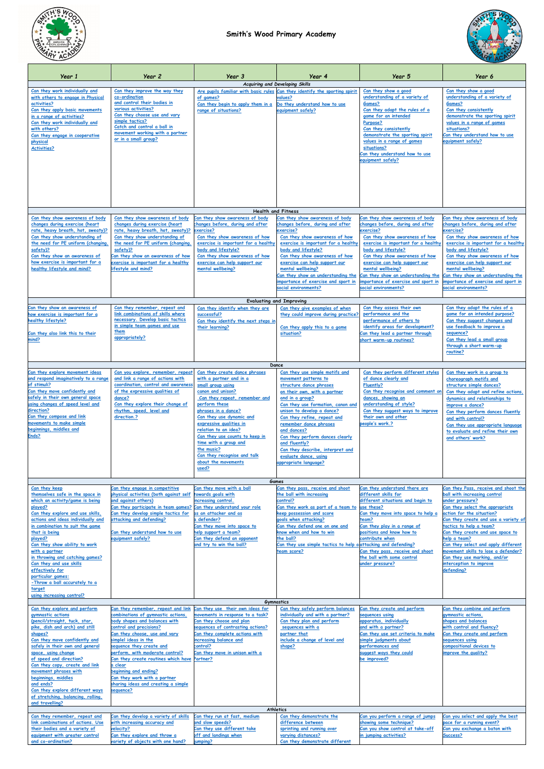



| Year 1                                                                                                                                                                                                                                                                                                                                                                                                                                                         | Year 2                                                                                                                                                                                                                                                                                                                                                   | Year 3                                                                                                                                                                                                                                                                                                                                                            | Year 4                                                                                                                                                                                                                                                                                                                                                                                                                                                | Year 5                                                                                                                                                                                                                                                                                                                                                                                        | Year 6                                                                                                                                                                                                                                                                                                                                                                                                      |  |  |  |
|----------------------------------------------------------------------------------------------------------------------------------------------------------------------------------------------------------------------------------------------------------------------------------------------------------------------------------------------------------------------------------------------------------------------------------------------------------------|----------------------------------------------------------------------------------------------------------------------------------------------------------------------------------------------------------------------------------------------------------------------------------------------------------------------------------------------------------|-------------------------------------------------------------------------------------------------------------------------------------------------------------------------------------------------------------------------------------------------------------------------------------------------------------------------------------------------------------------|-------------------------------------------------------------------------------------------------------------------------------------------------------------------------------------------------------------------------------------------------------------------------------------------------------------------------------------------------------------------------------------------------------------------------------------------------------|-----------------------------------------------------------------------------------------------------------------------------------------------------------------------------------------------------------------------------------------------------------------------------------------------------------------------------------------------------------------------------------------------|-------------------------------------------------------------------------------------------------------------------------------------------------------------------------------------------------------------------------------------------------------------------------------------------------------------------------------------------------------------------------------------------------------------|--|--|--|
| Can they work individually and<br>with others to engage in Physical<br>activities?<br>Can they apply basic movements<br>in a range of activities?<br>Can they work individually and<br>with others?<br>Can they engage in cooperative<br>physical<br><b>Activities?</b>                                                                                                                                                                                        | Can they improve the way they<br>co-ordination<br>and control their bodies in<br>various activities?<br>Can they choose use and vary<br>simple tactics?<br>Catch and control a ball in<br>movement working with a partner<br>or in a small group?                                                                                                        | of games?<br>Can they begin to apply them in a<br>range of situations?                                                                                                                                                                                                                                                                                            | Acquiring and Developing Skills<br>Are pupils familiar with basic rules Can they identify the sporting spirit<br>values?<br>Do they understand how to use<br>equipment safely?                                                                                                                                                                                                                                                                        | Can they show a good<br>understanding of a variety of<br>Games?<br>Can they adapt the rules of a<br>game for an intended<br>Purpose?<br>Can they consistently<br>demonstrate the sporting spirit<br>values in a range of games<br>situations?<br>Can they understand how to use<br>equipment safely?                                                                                          | Can they show a good<br>understanding of a variety of<br>Games?<br>Can they consistently<br>demonstrate the sporting spirit<br>values in a range of games<br>situations?<br>Can they understand how to use<br>equipment safely?                                                                                                                                                                             |  |  |  |
|                                                                                                                                                                                                                                                                                                                                                                                                                                                                |                                                                                                                                                                                                                                                                                                                                                          |                                                                                                                                                                                                                                                                                                                                                                   |                                                                                                                                                                                                                                                                                                                                                                                                                                                       |                                                                                                                                                                                                                                                                                                                                                                                               |                                                                                                                                                                                                                                                                                                                                                                                                             |  |  |  |
| <b>Health and Fitness</b><br>Can they show awareness of body<br>Can they show awareness of body<br>Can they show awareness of body<br>Can they show awareness of body<br>Can they show awareness of body<br>Can they show awareness of body                                                                                                                                                                                                                    |                                                                                                                                                                                                                                                                                                                                                          |                                                                                                                                                                                                                                                                                                                                                                   |                                                                                                                                                                                                                                                                                                                                                                                                                                                       |                                                                                                                                                                                                                                                                                                                                                                                               |                                                                                                                                                                                                                                                                                                                                                                                                             |  |  |  |
| changes during exercise (heart<br>rate, heavy breath, hot, sweaty)?<br>Can they show understanding of<br>the need for PE uniform (changing)<br>safety)?<br>Can they show an awareness of<br>how exercise is important for a<br>healthy lifestyle and mind?<br>Can they show an awareness of<br>how exercise is important for a                                                                                                                                 | changes during exercise (heart<br>rate, heavy breath, hot, sweaty)?<br>Can they show understanding of<br>the need for PE uniform (changing,<br>safety)?<br>Can they show an awareness of how<br>exercise <u>is important for a healthy</u><br>ifestyle and mind?<br>Can they remember, repeat and<br>link combinations of skills where                   | changes before, during and after<br>exercise?<br>Can they show awareness of how<br>exercise is important for a healthy<br>body and lifestyle?<br>Can they show awareness of how<br>exercise can help support our<br>mental wellbeing?<br>Can they identify when they are<br>successful?                                                                           | changes before, during and after<br>exercise?<br>Can they show awareness of how<br>exercise is important for a healthy<br>body and lifestyle?<br>Can they show awareness of how<br>exercise can help support our<br>mental wellbeing?<br>Can they show an understanding the<br>mportance of exercise and sport in<br>social environments?<br><b>Evaluating and Improving</b><br>Can they give examples of when<br>they could improve during practice? | changes before, during and after<br>exercise?<br>Can they show awareness of how<br>exercise is important for a healthy<br>body and lifestyle?<br>Can they show awareness of how<br>exercise can help support our<br>mental wellbeing?<br>Can they show an understanding the<br>mportance of exercise and sport in<br>social environments?<br>Can they assess their own<br>performance and the | changes before, during and after<br>exercise?<br>Can they show awareness of how<br>exercise is important for a healthy<br>body and lifestyle?<br>Can they show awareness of how<br>exercise can help support our<br>mental wellbeing?<br>Can they show an understanding the<br>mportance of exercise and sport in<br>social environments?<br>Can they adapt the rules of a<br>game for an intended purpose? |  |  |  |
| healthy lifestyle?<br>Can they also link this to their<br>mind?                                                                                                                                                                                                                                                                                                                                                                                                | necessary. Develop basic tactics<br>in simple team games and use<br>them<br>appropriately?                                                                                                                                                                                                                                                               | Can they identify the next steps in<br>their learning?                                                                                                                                                                                                                                                                                                            | Can they apply this to a game<br>situation?                                                                                                                                                                                                                                                                                                                                                                                                           | performance of others to<br>identify areas for development?<br>Can they lead a partner through<br>short warm-up routines?                                                                                                                                                                                                                                                                     | Can they suggest changes and<br>use feedback to improve a<br>sequence?<br>Can they lead a small group<br>through a short warm-up<br>routine?                                                                                                                                                                                                                                                                |  |  |  |
| Can they explore movement ideas                                                                                                                                                                                                                                                                                                                                                                                                                                | Can you explore, remember, repeat                                                                                                                                                                                                                                                                                                                        | Can they create dance phrases                                                                                                                                                                                                                                                                                                                                     | Dance<br>Can they use simple motifs and                                                                                                                                                                                                                                                                                                                                                                                                               | Can they perform different styles                                                                                                                                                                                                                                                                                                                                                             | Can they work in a group to                                                                                                                                                                                                                                                                                                                                                                                 |  |  |  |
| and respond imaginatively to a range<br>of stimuli?<br>Can they move confidently and<br>safely in their own general space<br>using changes of speed level and<br>direction?<br>Can they compose and link<br>movements to make simple<br>beginnings, middles and<br>Ends?                                                                                                                                                                                       | and link a range of actions with<br>coordination, control and awareness<br>of the expressive qualities of<br>dance?<br>Can they explore their change of<br>rhythm, speed, level and<br>direction.?                                                                                                                                                       | with a partner and in a<br>small group using<br>canon and unison?<br>Can they repeat, remember and<br>perform these<br>phrases in a dance?<br>Can they use dynamic and<br>expressive qualities in<br>relation to an idea?<br>Can they use counts to keep in<br>time with a group and<br>the music?<br>Can they recognise and talk<br>about the movements<br>used? | movement patterns to<br>structure dance phrases<br>on their own, with a partner<br>and in a group?<br>Can they use formation, canon and<br>unison to develop a dance?<br>Can they refine, repeat and<br>remember dance phrases<br>and dances?<br>Can they perform dances clearly<br>and fluently?<br>Can they describe, interpret and<br>evaluate dance, using<br>ppropriate language?                                                                | of dance clearly and<br>Fluently?<br>Can they recognise and comment on<br>dances, showing an<br>understanding of style?<br>Can they suggest ways to improve<br>their own and other<br>people's work.?                                                                                                                                                                                         | choreograph motifs and<br>structure simple dances?<br>Can they adapt and refine actions.<br>dynamics and relationships to<br>improve a dance?<br>Can they perform dances fluently<br>and with control?<br>Can they use appropriate language<br>to evaluate and refine their own<br>and others' work?                                                                                                        |  |  |  |
| Can they keep                                                                                                                                                                                                                                                                                                                                                                                                                                                  | Can they engage in competitive                                                                                                                                                                                                                                                                                                                           | Can they move with a ball                                                                                                                                                                                                                                                                                                                                         | <b>Games</b><br>Can they pass, receive and shoot                                                                                                                                                                                                                                                                                                                                                                                                      | Can they understand there are                                                                                                                                                                                                                                                                                                                                                                 | Can they Pass, receive and shoot the                                                                                                                                                                                                                                                                                                                                                                        |  |  |  |
| themselves safe in the space in<br>which an activity/game is being<br><u>played?</u><br>Can they explore and use skills,<br>actions and ideas individually and<br>in combination to suit the game<br>that is being<br>played?<br>Can they show ability to work<br>with a partner<br>in throwing and catching games?<br>Can they and use skills<br>effectively for<br>particular games:<br>-Throw a ball accurately to a<br>target<br>using increasing control? | physical activities (both against self<br>and against others)<br>Can they participate in team games? Can they understand your role<br>Can they develop simple tactics for<br>attacking and defending?<br>Can they understand how to use<br>equipment safely?                                                                                             | towards goals with<br>increasing control.<br>as an attacker and as<br>a defender?<br>Can they move into space to<br>help support a team?<br>Can they defend an opponent<br>and try to win the ball?                                                                                                                                                               | the ball with increasing<br>control?<br>Can they work as part of a team to<br>keep possession and score<br>goals when attacking?<br>Can they defend one on one and<br>know when and how to win<br>the ball?<br>Can they use simple tactics to help a attacking and defending?<br>team score?<br><b>Gymnastics</b>                                                                                                                                     | different skills for<br>different situations and begin to<br>use these?<br>Can they move into space to help a<br>team?<br>Can they play in a range of<br>positions and know how to<br>contribute when<br>Can they pass, receive and shoot<br>the ball with some control<br>under pressure?                                                                                                    | ball with increasing control<br>under pressure?<br>Can they select the appropriate<br>action for the situation?<br>Can they create and use a variety of<br>tactics to help a team?<br>Can they create and use space to<br>help a team?<br>Can they select and apply different<br>movement skills to lose a defender?<br>Can they use marking, and/or<br>interception to improve<br>defending?               |  |  |  |
| Can they explore and perform<br>gymnastic actions                                                                                                                                                                                                                                                                                                                                                                                                              | Can they remember, repeat and link<br>combinations of gymnastic actions.                                                                                                                                                                                                                                                                                 | Can they use their own ideas for<br>movements in response to a task?                                                                                                                                                                                                                                                                                              | Can they safely perform balances<br>individually and with a partner?                                                                                                                                                                                                                                                                                                                                                                                  | Can they create and perform<br>sequences using                                                                                                                                                                                                                                                                                                                                                | Can they combine and perform<br>aymnastic actions.                                                                                                                                                                                                                                                                                                                                                          |  |  |  |
| (pencil/straight, tuck, star,<br>pike, dish and arch) and still<br>shapes?<br>Can they move confidently and<br>safely in their own and general<br>space, using change<br>of speed and direction?<br>Can they copy, create and link<br>movement phrases with<br>beginnings, middles<br>and ends?<br>Can they explore different ways<br>of stretching, balancing, rolling,<br>and travelling?                                                                    | body shapes and balances with<br>control and precisions?<br>Can they choose, use and vary<br>simplel ideas in the<br>sequence they create and<br>perform, with moderate control?<br>Can they create routines which have Partner?<br>a clear<br>beginning and ending?<br>Can they work with a partner<br>sharing ideas and creating a simple<br>sequence? | Can they choose and plan<br>sequences of contrasting actions?<br>Can they complete actions with<br>increasing balance and<br>control?<br>Can they move in unison with a                                                                                                                                                                                           | Can they plan and perform<br>sequences with a<br>partner that<br>include a change of level and<br>shape?<br><b>Athletics</b>                                                                                                                                                                                                                                                                                                                          | apparatus, individually<br>and with a partner?<br>Can they use set criteria to make<br>simple judgments about<br>performances and<br>suggest ways they could<br>be improved?                                                                                                                                                                                                                  | shapes and balances<br>with control and fluency?<br>Can they create and perform<br>sequences using<br>compositional devices to<br>improve the quality?                                                                                                                                                                                                                                                      |  |  |  |
| Can they remember, repeat and<br>link combinations of actions. Use                                                                                                                                                                                                                                                                                                                                                                                             | Can they develop a variety of skills<br>with increasing accuracy and                                                                                                                                                                                                                                                                                     | Can they run at fast, medium<br>and slow speeds?                                                                                                                                                                                                                                                                                                                  | Can they demonstrate the<br>difference between                                                                                                                                                                                                                                                                                                                                                                                                        | <u>Can you perform a range of jumps</u><br>showing some technique?                                                                                                                                                                                                                                                                                                                            | Can you select and apply the best<br>pace for a running event?                                                                                                                                                                                                                                                                                                                                              |  |  |  |
| their bodies and a variety of<br>equipment with greater control<br>and co-ordination?                                                                                                                                                                                                                                                                                                                                                                          | velocity?<br>Can they explore and throw a<br>variety of objects with one hand?                                                                                                                                                                                                                                                                           | Can they use different take<br>off and landings when<br>jumping?                                                                                                                                                                                                                                                                                                  | sprinting and running over<br>varying distances?<br>Can they demonstrate different                                                                                                                                                                                                                                                                                                                                                                    | Can you show control at take-off<br>in jumping activities?                                                                                                                                                                                                                                                                                                                                    | Can you exchange a baton with<br>Success?                                                                                                                                                                                                                                                                                                                                                                   |  |  |  |